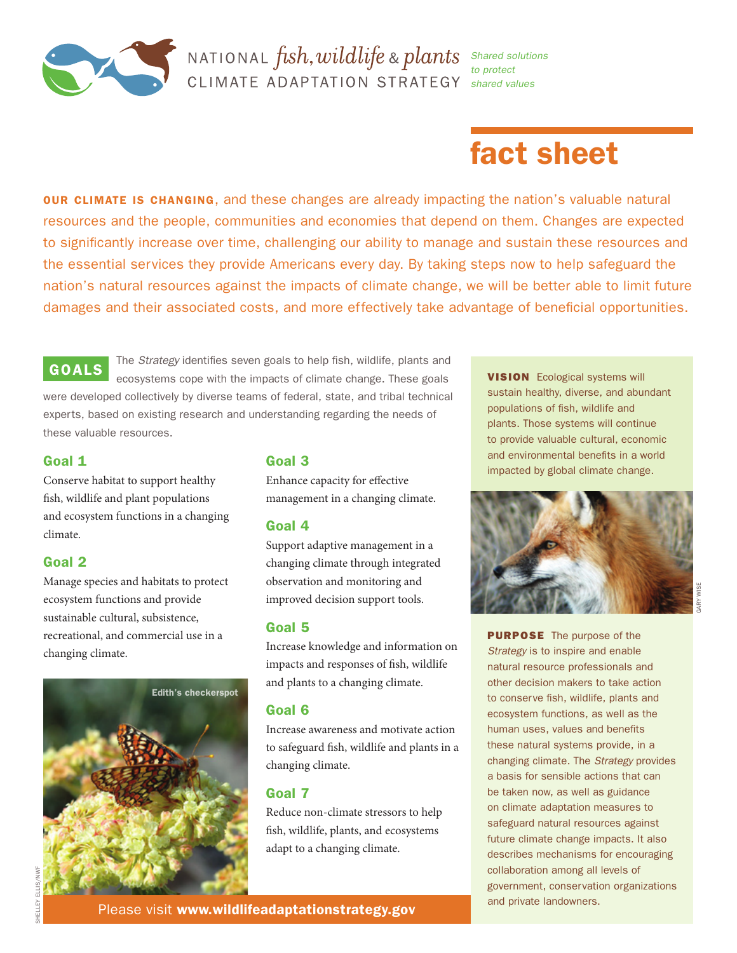

## **NATIONAL**  $fish, wildlife$  &  $plants$  Shared solutions CLIMATE ADAPTATION STRATEGY *shared values*

*to protect* 

# fact sheet

**OUR CLIMATE IS CHANGING,** and these changes are already impacting the nation's valuable natural resources and the people, communities and economies that depend on them. Changes are expected to significantly increase over time, challenging our ability to manage and sustain these resources and the essential services they provide Americans every day. By taking steps now to help safeguard the nation's natural resources against the impacts of climate change, we will be better able to limit future damages and their associated costs, and more effectively take advantage of beneficial opportunities.

### GOALS

The *Strategy* identifies seven goals to help fish, wildlife, plants and ecosystems cope with the impacts of climate change. These goals were developed collectively by diverse teams of federal, state, and tribal technical experts, based on existing research and understanding regarding the needs of these valuable resources.

#### Goal 1

Conserve habitat to support healthy fish, wildlife and plant populations and ecosystem functions in a changing climate.

#### Goal 2

Manage species and habitats to protect ecosystem functions and provide sustainable cultural, subsistence, recreational, and commercial use in a changing climate.



#### Goal 3

Enhance capacity for effective management in a changing climate.

#### Goal 4

Support adaptive management in a changing climate through integrated observation and monitoring and improved decision support tools.

#### Goal 5

Increase knowledge and information on impacts and responses of fish, wildlife and plants to a changing climate.

#### Goal 6

Increase awareness and motivate action to safeguard fish, wildlife and plants in a changing climate.

#### Goal 7

Reduce non-climate stressors to help fish, wildlife, plants, and ecosystems adapt to a changing climate.

**VISION** Ecological systems will sustain healthy, diverse, and abundant populations of fish, wildlife and plants. Those systems will continue to provide valuable cultural, economic and environmental benefits in a world impacted by global climate change.



**PURPOSE** The purpose of the *Strategy* is to inspire and enable natural resource professionals and other decision makers to take action to conserve fish, wildlife, plants and ecosystem functions, as well as the human uses, values and benefits these natural systems provide, in a changing climate. The *Strategy* provides a basis for sensible actions that can be taken now, as well as guidance on climate adaptation measures to safeguard natural resources against future climate change impacts. It also describes mechanisms for encouraging collaboration among all levels of government, conservation organizations and private landowners.

Please visit [www.wildlifeadaptationstrategy.gov](http://www.wildlifeadaptationstrategy.gov)